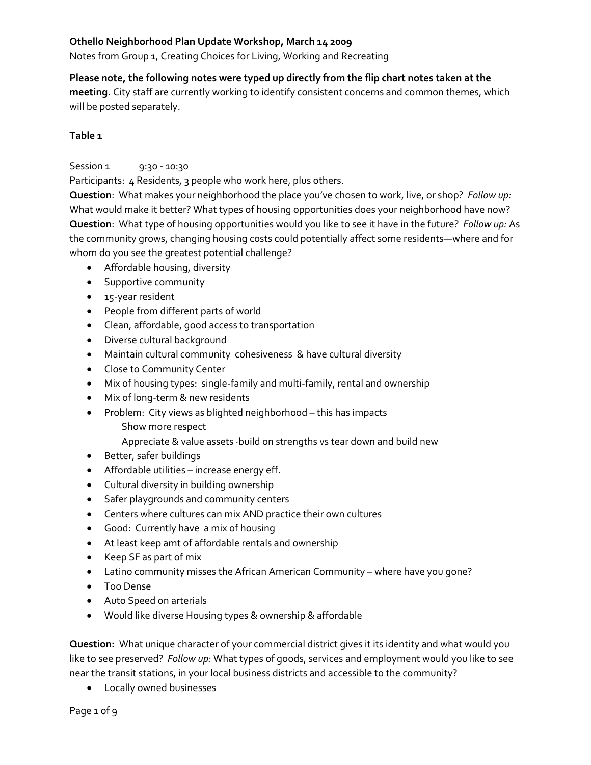Notes from Group 1, Creating Choices for Living, Working and Recreating

**Please note, the following notes were typed up directly from the flip chart notes taken at the meeting.** City staff are currently working to identify consistent concerns and common themes, which will be posted separately.

#### **Table 1**

# Session 1 9:30 - 10:30

Participants: 4 Residents, 3 people who work here, plus others.

**Question**: What makes your neighborhood the place you've chosen to work, live, or shop? *Follow up:* What would make it better? What types of housing opportunities does your neighborhood have now? **Question**: What type of housing opportunities would you like to see it have in the future? *Follow up:* As the community grows, changing housing costs could potentially affect some residents—where and for whom do you see the greatest potential challenge?

- Affordable housing, diversity
- Supportive community
- 15‐year resident
- People from different parts of world
- Clean, affordable, good access to transportation
- Diverse cultural background
- Maintain cultural community cohesiveness & have cultural diversity
- Close to Community Center
- Mix of housing types: single-family and multi-family, rental and ownership
- Mix of long‐term & new residents
- Problem: City views as blighted neighborhood this has impacts
	- Show more respect
	- Appreciate & value assets ∙build on strengths vs tear down and build new
- Better, safer buildings
- Affordable utilities increase energy eff.
- Cultural diversity in building ownership
- Safer playgrounds and community centers
- Centers where cultures can mix AND practice their own cultures
- Good: Currently have a mix of housing
- At least keep amt of affordable rentals and ownership
- Keep SF as part of mix
- Latino community misses the African American Community where have you gone?
- Too Dense
- Auto Speed on arterials
- Would like diverse Housing types & ownership & affordable

**Question:** What unique character of your commercial district gives it its identity and what would you like to see preserved? *Follow up:* What types of goods, services and employment would you like to see near the transit stations, in your local business districts and accessible to the community?

• Locally owned businesses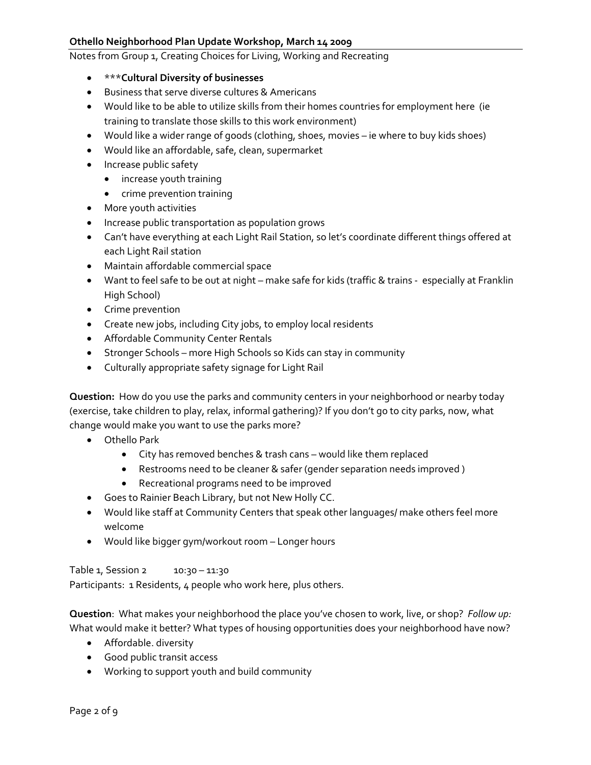#### Notes from Group 1, Creating Choices for Living, Working and Recreating

- \*\*\***Cultural Diversity of businesses**
- Business that serve diverse cultures & Americans
- Would like to be able to utilize skills from their homes countries for employment here (ie training to translate those skills to this work environment)
- Would like a wider range of goods (clothing, shoes, movies ie where to buy kids shoes)
- Would like an affordable, safe, clean, supermarket
- Increase public safety
	- increase youth training
	- crime prevention training
- More youth activities
- Increase public transportation as population grows
- Can't have everything at each Light Rail Station, so let's coordinate different things offered at each Light Rail station
- Maintain affordable commercial space
- Want to feel safe to be out at night make safe for kids (traffic & trains especially at Franklin High School)
- Crime prevention
- Create new jobs, including City jobs, to employ local residents
- Affordable Community Center Rentals
- Stronger Schools more High Schools so Kids can stay in community
- Culturally appropriate safety signage for Light Rail

**Question:** How do you use the parks and community centers in your neighborhood or nearby today (exercise, take children to play, relax, informal gathering)? If you don't go to city parks, now, what change would make you want to use the parks more?

- Othello Park
	- City has removed benches & trash cans would like them replaced
	- Restrooms need to be cleaner & safer (gender separation needs improved )
	- Recreational programs need to be improved
- Goes to Rainier Beach Library, but not New Holly CC.
- Would like staff at Community Centers that speak other languages/ make others feel more welcome
- Would like bigger gym/workout room Longer hours

Table 1, Session 2 10:30 - 11:30 Participants: 1 Residents, 4 people who work here, plus others.

**Question**: What makes your neighborhood the place you've chosen to work, live, or shop? *Follow up:* What would make it better? What types of housing opportunities does your neighborhood have now?

- Affordable. diversity
- Good public transit access
- Working to support youth and build community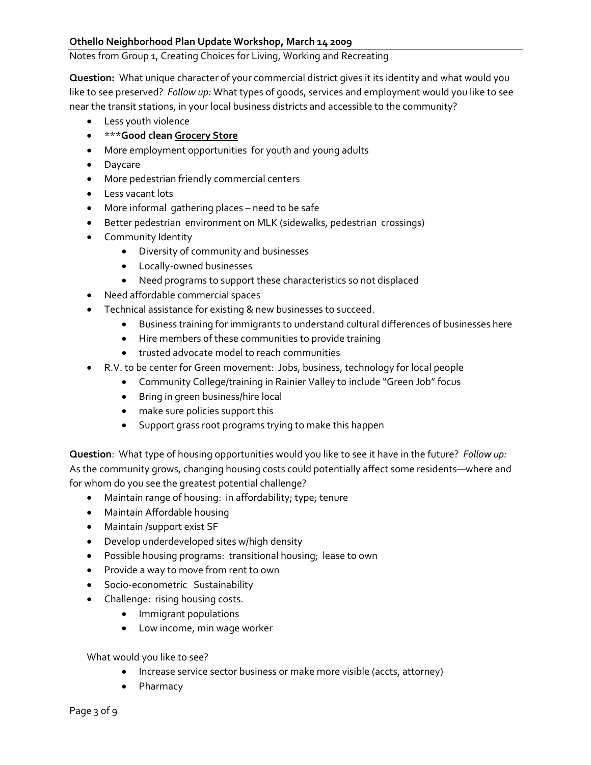#### Notes from Group 1, Creating Choices for Living, Working and Recreating

**Question:** What unique character of your commercial district gives it its identity and what would you like to see preserved? *Follow up:* What types of goods, services and employment would you like to see near the transit stations, in your local business districts and accessible to the community?

- Less youth violence
- \*\*\***Good clean Grocery Store**
- More employment opportunities for youth and young adults
- Daycare
- More pedestrian friendly commercial centers
- Less vacant lots
- More informal gathering places need to be safe
- Better pedestrian environment on MLK (sidewalks, pedestrian crossings)
- Community Identity
	- Diversity of community and businesses
	- Locally‐owned businesses
	- Need programs to support these characteristics so not displaced
- Need affordable commercial spaces
- Technical assistance for existing & new businesses to succeed.
	- Business training for immigrants to understand cultural differences of businesses here
	- Hire members of these communities to provide training
	- trusted advocate model to reach communities
- R.V. to be center for Green movement: Jobs, business, technology for local people
	- Community College/training in Rainier Valley to include "Green Job" focus
	- Bring in green business/hire local
	- make sure policies support this
	- Support grass root programs trying to make this happen

**Question**: What type of housing opportunities would you like to see it have in the future? *Follow up:* As the community grows, changing housing costs could potentially affect some residents—where and for whom do you see the greatest potential challenge?

- Maintain range of housing: in affordability; type; tenure
- Maintain Affordable housing
- Maintain /support exist SF
- Develop underdeveloped sites w/high density
- Possible housing programs: transitional housing; lease to own
- Provide a way to move from rent to own
- Socio-econometric Sustainability
- Challenge: rising housing costs.
	- Immigrant populations
	- Low income, min wage worker

What would you like to see?

- Increase service sector business or make more visible (accts, attorney)
- Pharmacy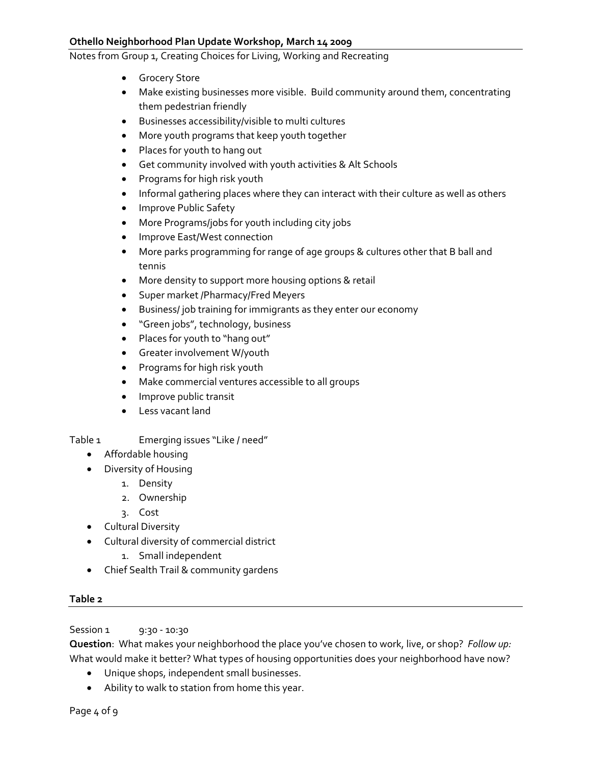Notes from Group 1, Creating Choices for Living, Working and Recreating

- Grocery Store
- Make existing businesses more visible. Build community around them, concentrating them pedestrian friendly
- Businesses accessibility/visible to multi cultures
- More youth programs that keep youth together
- Places for youth to hang out
- Get community involved with youth activities & Alt Schools
- Programs for high risk youth
- Informal gathering places where they can interact with their culture as well as others
- Improve Public Safety
- More Programs/jobs for youth including city jobs
- Improve East/West connection
- More parks programming for range of age groups & cultures other that B ball and tennis
- More density to support more housing options & retail
- Super market /Pharmacy/Fred Meyers
- Business/ job training for immigrants as they enter our economy
- "Green jobs", technology, business
- Places for youth to "hang out"
- Greater involvement W/youth
- Programs for high risk youth
- Make commercial ventures accessible to all groups
- Improve public transit
- Less vacant land

#### Table 1 Emerging issues "Like / need"

- Affordable housing
- Diversity of Housing
	- 1. Density
	- 2. Ownership
	- 3. Cost
- Cultural Diversity
- Cultural diversity of commercial district
	- 1. Small independent
- Chief Sealth Trail & community gardens

# **Table 2**

Session 1 9:30 - 10:30

**Question**: What makes your neighborhood the place you've chosen to work, live, or shop? *Follow up:* What would make it better? What types of housing opportunities does your neighborhood have now?

- Unique shops, independent small businesses.
- Ability to walk to station from home this year.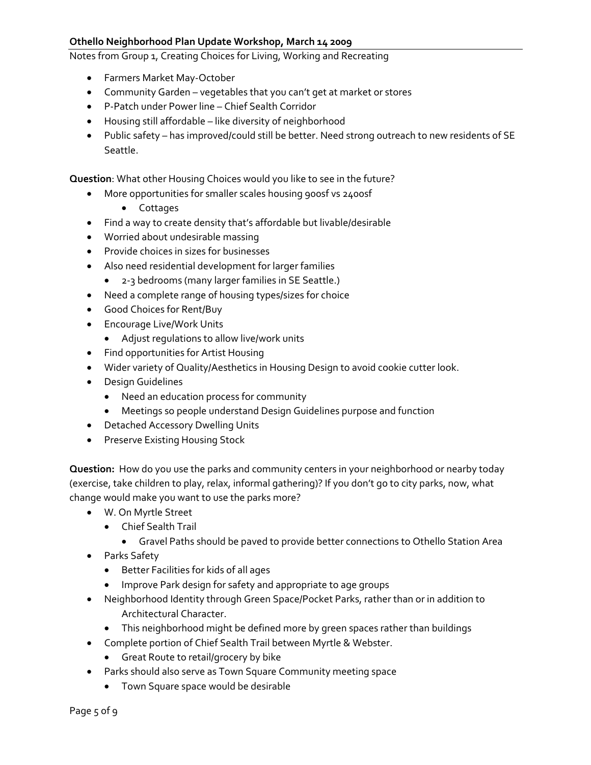Notes from Group 1, Creating Choices for Living, Working and Recreating

- Farmers Market May‐October
- Community Garden vegetables that you can't get at market or stores
- P‐Patch under Power line Chief Sealth Corridor
- Housing still affordable like diversity of neighborhood
- Public safety has improved/could still be better. Need strong outreach to new residents of SE Seattle.

**Question**: What other Housing Choices would you like to see in the future?

- More opportunities for smaller scales housing 900sf vs 2400sf
	- Cottages
- Find a way to create density that's affordable but livable/desirable
- Worried about undesirable massing
- Provide choices in sizes for businesses
- Also need residential development for larger families
	- 2-3 bedrooms (many larger families in SE Seattle.)
- Need a complete range of housing types/sizes for choice
- Good Choices for Rent/Buy
- Encourage Live/Work Units
	- Adjust regulations to allow live/work units
- Find opportunities for Artist Housing
- Wider variety of Quality/Aesthetics in Housing Design to avoid cookie cutter look.
- Design Guidelines
	- Need an education process for community
	- Meetings so people understand Design Guidelines purpose and function
- Detached Accessory Dwelling Units
- Preserve Existing Housing Stock

**Question:** How do you use the parks and community centers in your neighborhood or nearby today (exercise, take children to play, relax, informal gathering)? If you don't go to city parks, now, what change would make you want to use the parks more?

- W. On Myrtle Street
	- Chief Sealth Trail
		- Gravel Paths should be paved to provide better connections to Othello Station Area
- Parks Safety
	- Better Facilities for kids of all ages
	- Improve Park design for safety and appropriate to age groups
- Neighborhood Identity through Green Space/Pocket Parks, rather than or in addition to Architectural Character.
	- This neighborhood might be defined more by green spaces rather than buildings
- Complete portion of Chief Sealth Trail between Myrtle & Webster.
	- Great Route to retail/grocery by bike
- Parks should also serve as Town Square Community meeting space
	- Town Square space would be desirable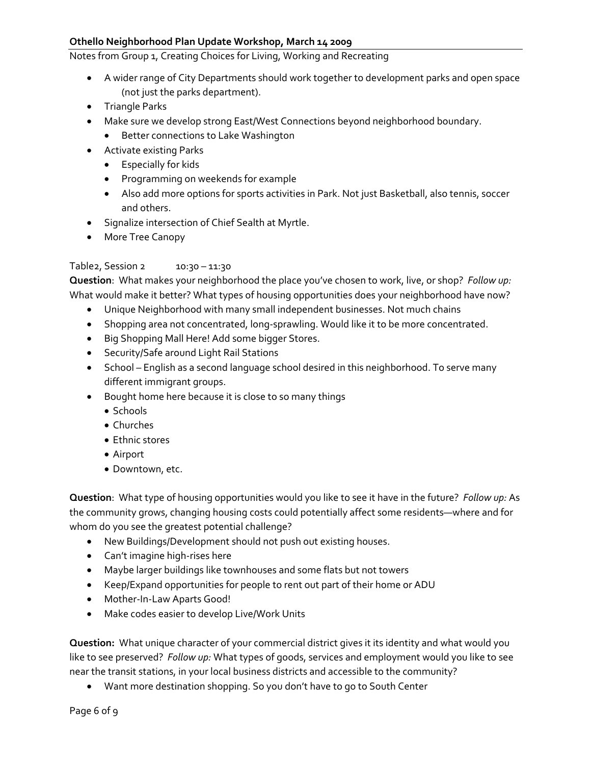Notes from Group 1, Creating Choices for Living, Working and Recreating

- A wider range of City Departments should work together to development parks and open space (not just the parks department).
- Triangle Parks
- Make sure we develop strong East/West Connections beyond neighborhood boundary.
	- Better connections to Lake Washington
- Activate existing Parks
	- Especially for kids
	- Programming on weekends for example
	- Also add more options for sports activities in Park. Not just Basketball, also tennis, soccer and others.
- Signalize intersection of Chief Sealth at Myrtle.
- More Tree Canopy

#### Table2, Session 2 10:30 - 11:30

**Question**: What makes your neighborhood the place you've chosen to work, live, or shop? *Follow up:* What would make it better? What types of housing opportunities does your neighborhood have now?

- Unique Neighborhood with many small independent businesses. Not much chains
- Shopping area not concentrated, long‐sprawling. Would like it to be more concentrated.
- Big Shopping Mall Here! Add some bigger Stores.
- Security/Safe around Light Rail Stations
- School English as a second language school desired in this neighborhood. To serve many different immigrant groups.
- Bought home here because it is close to so many things
	- Schools
	- Churches
	- Ethnic stores
	- Airport
	- Downtown, etc.

**Question**: What type of housing opportunities would you like to see it have in the future? *Follow up:* As the community grows, changing housing costs could potentially affect some residents—where and for whom do you see the greatest potential challenge?

- New Buildings/Development should not push out existing houses.
- Can't imagine high‐rises here
- Maybe larger buildings like townhouses and some flats but not towers
- Keep/Expand opportunities for people to rent out part of their home or ADU
- Mother-In-Law Aparts Good!
- Make codes easier to develop Live/Work Units

**Question:** What unique character of your commercial district gives it its identity and what would you like to see preserved? *Follow up:* What types of goods, services and employment would you like to see near the transit stations, in your local business districts and accessible to the community?

• Want more destination shopping. So you don't have to go to South Center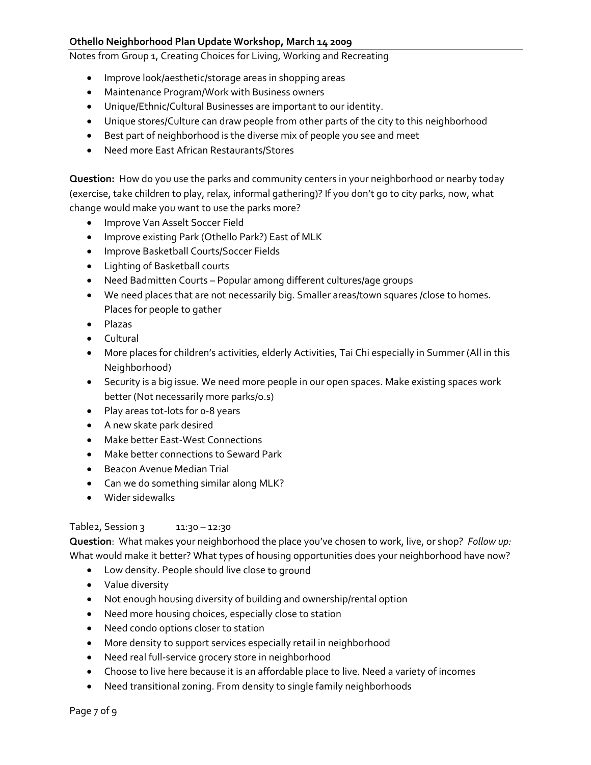Notes from Group 1, Creating Choices for Living, Working and Recreating

- Improve look/aesthetic/storage areas in shopping areas
- Maintenance Program/Work with Business owners
- Unique/Ethnic/Cultural Businesses are important to our identity.
- Unique stores/Culture can draw people from other parts of the city to this neighborhood
- Best part of neighborhood is the diverse mix of people you see and meet
- Need more East African Restaurants/Stores

**Question:** How do you use the parks and community centers in your neighborhood or nearby today (exercise, take children to play, relax, informal gathering)? If you don't go to city parks, now, what change would make you want to use the parks more?

- Improve Van Asselt Soccer Field
- Improve existing Park (Othello Park?) East of MLK
- Improve Basketball Courts/Soccer Fields
- Lighting of Basketball courts
- Need Badmitten Courts Popular among different cultures/age groups
- We need places that are not necessarily big. Smaller areas/town squares /close to homes. Places for people to gather
- Plazas
- Cultural
- More places for children's activities, elderly Activities, Tai Chi especially in Summer (All in this Neighborhood)
- Security is a big issue. We need more people in our open spaces. Make existing spaces work better (Not necessarily more parks/o.s)
- Play areas tot-lots for o-8 years
- A new skate park desired
- Make better East‐West Connections
- Make better connections to Seward Park
- Beacon Avenue Median Trial
- Can we do something similar along MLK?
- Wider sidewalks

#### Table2, Session 3 11:30 - 12:30

**Question**: What makes your neighborhood the place you've chosen to work, live, or shop? *Follow up:* What would make it better? What types of housing opportunities does your neighborhood have now?

- Low density. People should live close to ground
- Value diversity
- Not enough housing diversity of building and ownership/rental option
- Need more housing choices, especially close to station
- Need condo options closer to station
- More density to support services especially retail in neighborhood
- Need real full‐service grocery store in neighborhood
- Choose to live here because it is an affordable place to live. Need a variety of incomes
- Need transitional zoning. From density to single family neighborhoods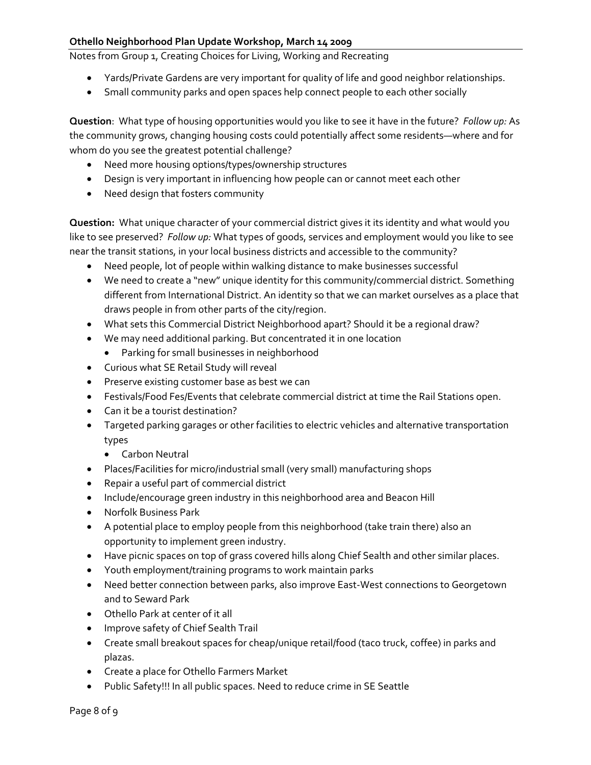Notes from Group 1, Creating Choices for Living, Working and Recreating

- Yards/Private Gardens are very important for quality of life and good neighbor relationships.
- Small community parks and open spaces help connect people to each other socially

**Question**: What type of housing opportunities would you like to see it have in the future? *Follow up:* As the community grows, changing housing costs could potentially affect some residents—where and for whom do you see the greatest potential challenge?

- Need more housing options/types/ownership structures
- Design is very important in influencing how people can or cannot meet each other
- Need design that fosters community

**Question:** What unique character of your commercial district gives it its identity and what would you like to see preserved? *Follow up:* What types of goods, services and employment would you like to see near the transit stations, in your local business districts and accessible to the community?

- Need people, lot of people within walking distance to make businesses successful
- We need to create a "new" unique identity for this community/commercial district. Something different from International District. An identity so that we can market ourselves as a place that draws people in from other parts of the city/region.
- What sets this Commercial District Neighborhood apart? Should it be a regional draw?
- We may need additional parking. But concentrated it in one location
	- Parking for small businesses in neighborhood
- Curious what SE Retail Study will reveal
- Preserve existing customer base as best we can
- Festivals/Food Fes/Events that celebrate commercial district at time the Rail Stations open.
- Can it be a tourist destination?
- Targeted parking garages or other facilities to electric vehicles and alternative transportation types
	- Carbon Neutral
- Places/Facilities for micro/industrial small (very small) manufacturing shops
- Repair a useful part of commercial district
- Include/encourage green industry in this neighborhood area and Beacon Hill
- Norfolk Business Park
- A potential place to employ people from this neighborhood (take train there) also an opportunity to implement green industry.
- Have picnic spaces on top of grass covered hills along Chief Sealth and other similar places.
- Youth employment/training programs to work maintain parks
- Need better connection between parks, also improve East‐West connections to Georgetown and to Seward Park
- Othello Park at center of it all
- Improve safety of Chief Sealth Trail
- Create small breakout spaces for cheap/unique retail/food (taco truck, coffee) in parks and plazas.
- Create a place for Othello Farmers Market
- Public Safety!!! In all public spaces. Need to reduce crime in SE Seattle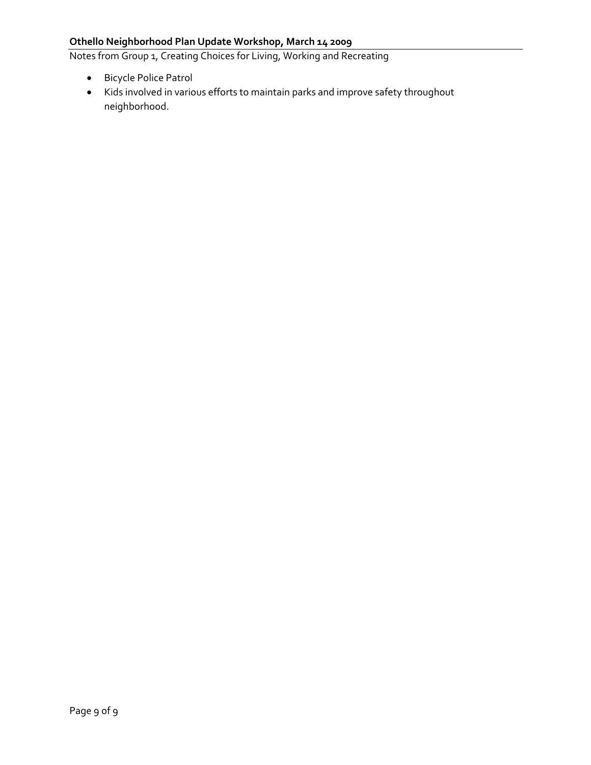Notes from Group 1, Creating Choices for Living, Working and Recreating

- Bicycle Police Patrol
- Kids involved in various efforts to maintain parks and improve safety throughout neighborhood.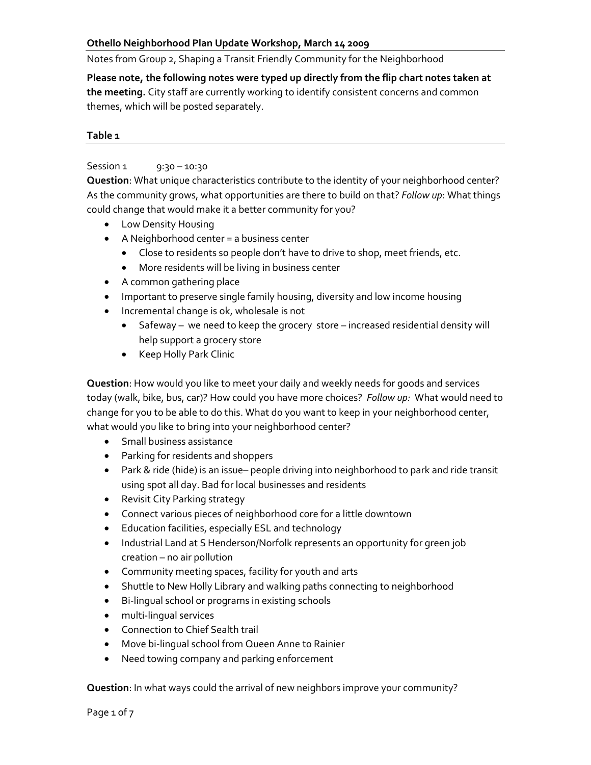Notes from Group 2, Shaping a Transit Friendly Community for the Neighborhood

**Please note, the following notes were typed up directly from the flip chart notes taken at the meeting.** City staff are currently working to identify consistent concerns and common themes, which will be posted separately.

#### **Table 1**

### Session 1 9:30 – 10:30

**Question**: What unique characteristics contribute to the identity of your neighborhood center? As the community grows, what opportunities are there to build on that? *Follow up*: What things could change that would make it a better community for you?

- Low Density Housing
- A Neighborhood center = a business center
	- Close to residents so people don't have to drive to shop, meet friends, etc.
	- More residents will be living in business center
- A common gathering place
- Important to preserve single family housing, diversity and low income housing
- Incremental change is ok, wholesale is not
	- Safeway we need to keep the grocery store increased residential density will help support a grocery store
	- Keep Holly Park Clinic

**Question**: How would you like to meet your daily and weekly needs for goods and services today (walk, bike, bus, car)? How could you have more choices? *Follow up:* What would need to change for you to be able to do this. What do you want to keep in your neighborhood center, what would you like to bring into your neighborhood center?

- Small business assistance
- Parking for residents and shoppers
- Park & ride (hide) is an issue– people driving into neighborhood to park and ride transit using spot all day. Bad for local businesses and residents
- Revisit City Parking strategy
- Connect various pieces of neighborhood core for a little downtown
- Education facilities, especially ESL and technology
- Industrial Land at S Henderson/Norfolk represents an opportunity for green job creation – no air pollution
- Community meeting spaces, facility for youth and arts
- Shuttle to New Holly Library and walking paths connecting to neighborhood
- Bi‐lingual school or programs in existing schools
- multi-lingual services
- Connection to Chief Sealth trail
- Move bi-lingual school from Queen Anne to Rainier
- Need towing company and parking enforcement

**Question**: In what ways could the arrival of new neighbors improve your community?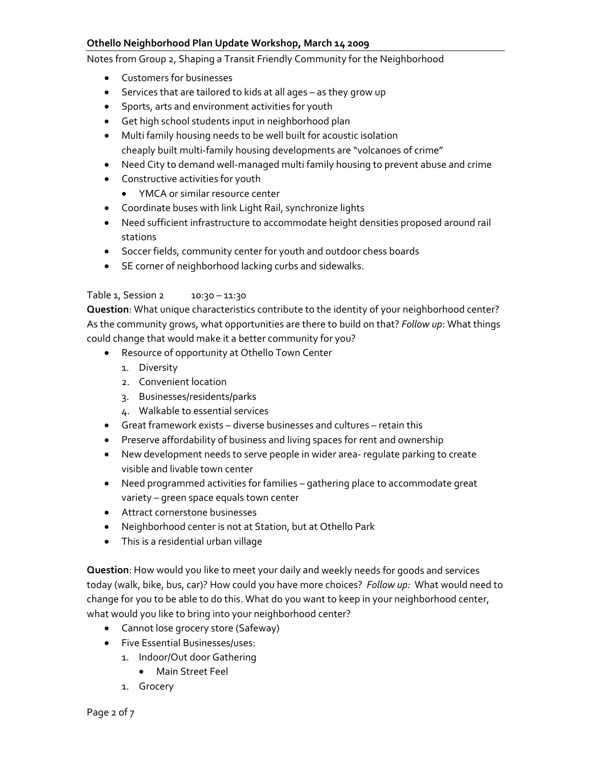Notes from Group 2, Shaping a Transit Friendly Community for the Neighborhood

- Customers for businesses
- Services that are tailored to kids at all ages as they grow up
- Sports, arts and environment activities for youth
- Get high school students input in neighborhood plan
- Multi family housing needs to be well built for acoustic isolation cheaply built multi‐family housing developments are "volcanoes of crime"
- Need City to demand well-managed multi family housing to prevent abuse and crime
- Constructive activities for youth
	- YMCA or similar resource center
- Coordinate buses with link Light Rail, synchronize lights
- Need sufficient infrastructure to accommodate height densities proposed around rail stations
- Soccer fields, community center for youth and outdoor chess boards
- SE corner of neighborhood lacking curbs and sidewalks.

#### Table 1, Session 2 10:30 – 11:30

**Question**: What unique characteristics contribute to the identity of your neighborhood center? As the community grows, what opportunities are there to build on that? *Follow up*: What things could change that would make it a better community for you?

- Resource of opportunity at Othello Town Center
	- 1. Diversity
	- 2. Convenient location
	- 3. Businesses/residents/parks
	- 4. Walkable to essential services
- Great framework exists diverse businesses and cultures retain this
- Preserve affordability of business and living spaces for rent and ownership
- New development needs to serve people in wider area- regulate parking to create visible and livable town center
- Need programmed activities for families gathering place to accommodate great variety – green space equals town center
- Attract cornerstone businesses
- Neighborhood center is not at Station, but at Othello Park
- This is a residential urban village

**Question**: How would you like to meet your daily and weekly needs for goods and services today (walk, bike, bus, car)? How could you have more choices? *Follow up:* What would need to change for you to be able to do this. What do you want to keep in your neighborhood center, what would you like to bring into your neighborhood center?

- Cannot lose grocery store (Safeway)
- Five Essential Businesses/uses:
	- 1. Indoor/Out door Gathering
		- Main Street Feel
	- 1. Grocery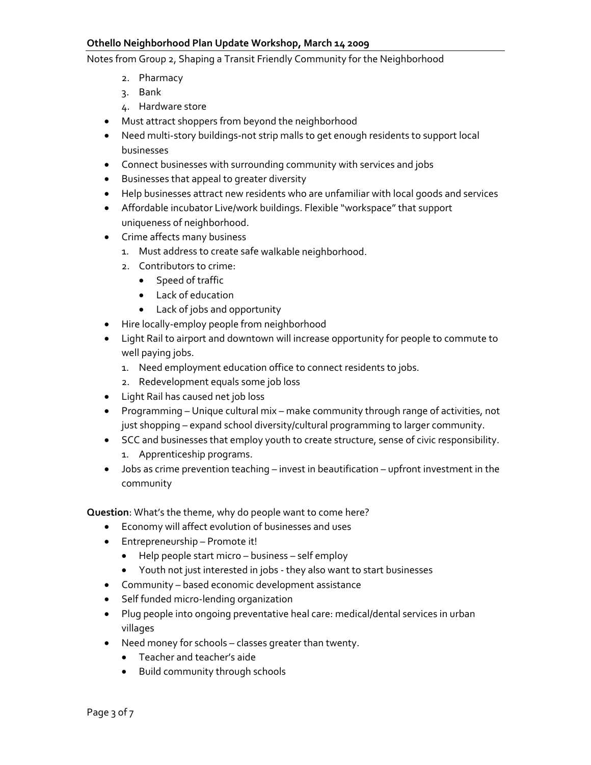Notes from Group 2, Shaping a Transit Friendly Community for the Neighborhood

- 2. Pharmacy
- 3. Bank
- 4. Hardware store
- Must attract shoppers from beyond the neighborhood
- Need multi‐story buildings‐not strip malls to get enough residents to support local businesses
- Connect businesses with surrounding community with services and jobs
- Businesses that appeal to greater diversity
- Help businesses attract new residents who are unfamiliar with local goods and services
- Affordable incubator Live/work buildings. Flexible "workspace" that support uniqueness of neighborhood.
- Crime affects many business
	- 1. Must address to create safe walkable neighborhood.
	- 2. Contributors to crime:
		- Speed of traffic
			- Lack of education
			- Lack of jobs and opportunity
- Hire locally‐employ people from neighborhood
- Light Rail to airport and downtown will increase opportunity for people to commute to well paying jobs.
	- 1. Need employment education office to connect residents to jobs.
	- 2. Redevelopment equals some job loss
- Light Rail has caused net job loss
- Programming Unique cultural mix make community through range of activities, not just shopping – expand school diversity/cultural programming to larger community.
- SCC and businesses that employ youth to create structure, sense of civic responsibility.
	- 1. Apprenticeship programs.
- Jobs as crime prevention teaching invest in beautification upfront investment in the community

**Question**: What's the theme, why do people want to come here?

- Economy will affect evolution of businesses and uses
- Entrepreneurship Promote it!
	- Help people start micro business self employ
	- Youth not just interested in jobs ‐ they also want to start businesses
- Community based economic development assistance
- Self funded micro‐lending organization
- Plug people into ongoing preventative heal care: medical/dental services in urban villages
- Need money for schools classes greater than twenty.
	- Teacher and teacher's aide
	- Build community through schools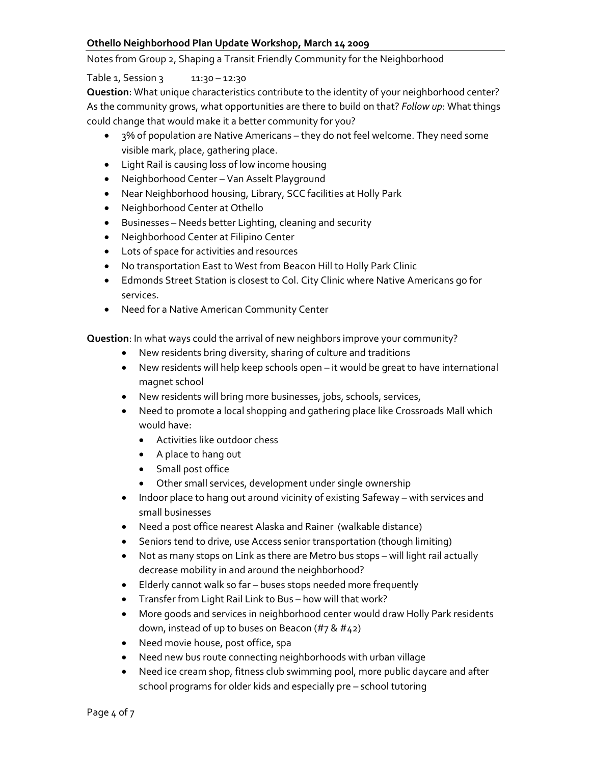Notes from Group 2, Shaping a Transit Friendly Community for the Neighborhood

# Table 1, Session 3 11:30 – 12:30

**Question**: What unique characteristics contribute to the identity of your neighborhood center? As the community grows, what opportunities are there to build on that? *Follow up*: What things could change that would make it a better community for you?

- 3% of population are Native Americans they do not feel welcome. They need some visible mark, place, gathering place.
- Light Rail is causing loss of low income housing
- Neighborhood Center Van Asselt Playground
- Near Neighborhood housing, Library, SCC facilities at Holly Park
- Neighborhood Center at Othello
- Businesses Needs better Lighting, cleaning and security
- Neighborhood Center at Filipino Center
- Lots of space for activities and resources
- No transportation East to West from Beacon Hill to Holly Park Clinic
- Edmonds Street Station is closest to Col. City Clinic where Native Americans go for services.
- Need for a Native American Community Center

**Question**: In what ways could the arrival of new neighbors improve your community?

- New residents bring diversity, sharing of culture and traditions
- New residents will help keep schools open it would be great to have international magnet school
- New residents will bring more businesses, jobs, schools, services,
- Need to promote a local shopping and gathering place like Crossroads Mall which would have:
	- Activities like outdoor chess
	- A place to hang out
	- Small post office
	- Other small services, development under single ownership
- Indoor place to hang out around vicinity of existing Safeway with services and small businesses
- Need a post office nearest Alaska and Rainer (walkable distance)
- Seniors tend to drive, use Access senior transportation (though limiting)
- Not as many stops on Link as there are Metro bus stops will light rail actually decrease mobility in and around the neighborhood?
- Elderly cannot walk so far buses stops needed more frequently
- Transfer from Light Rail Link to Bus how will that work?
- More goods and services in neighborhood center would draw Holly Park residents down, instead of up to buses on Beacon (#7 & #42)
- Need movie house, post office, spa
- Need new bus route connecting neighborhoods with urban village
- Need ice cream shop, fitness club swimming pool, more public daycare and after school programs for older kids and especially pre – school tutoring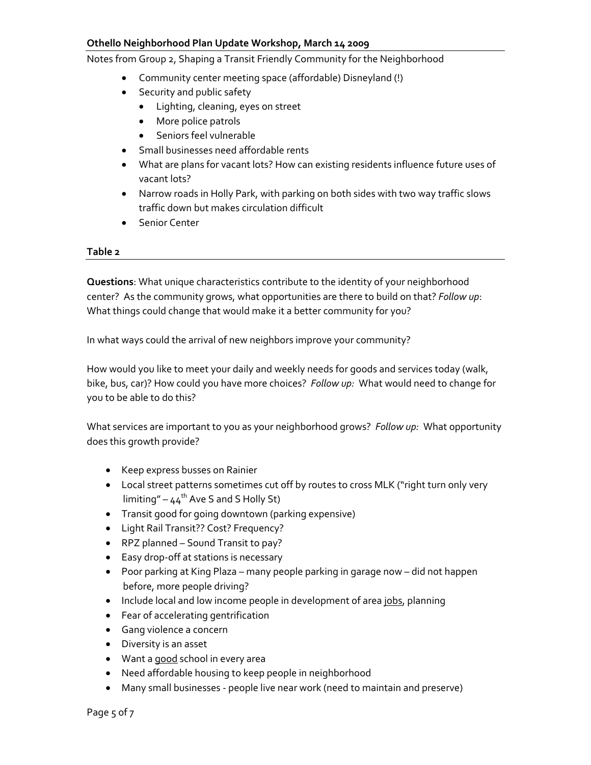Notes from Group 2, Shaping a Transit Friendly Community for the Neighborhood

- Community center meeting space (affordable) Disneyland (!)
- Security and public safety
	- Lighting, cleaning, eyes on street
	- More police patrols
	- Seniors feel vulnerable
- Small businesses need affordable rents
- What are plans for vacant lots? How can existing residents influence future uses of vacant lots?
- Narrow roads in Holly Park, with parking on both sides with two way traffic slows traffic down but makes circulation difficult
- Senior Center

#### **Table 2**

**Questions**: What unique characteristics contribute to the identity of your neighborhood center? As the community grows, what opportunities are there to build on that? *Follow up*: What things could change that would make it a better community for you?

In what ways could the arrival of new neighbors improve your community?

How would you like to meet your daily and weekly needs for goods and services today (walk, bike, bus, car)? How could you have more choices? *Follow up:* What would need to change for you to be able to do this?

What services are important to you as your neighborhood grows? *Follow up:* What opportunity does this growth provide?

- Keep express busses on Rainier
- Local street patterns sometimes cut off by routes to cross MLK ("right turn only very  $\lim$ imiting" – 44<sup>th</sup> Ave S and S Holly St)
- Transit good for going downtown (parking expensive)
- Light Rail Transit?? Cost? Frequency?
- RPZ planned Sound Transit to pay?
- Easy drop‐off at stations is necessary
- Poor parking at King Plaza many people parking in garage now did not happen before, more people driving?
- Include local and low income people in development of area jobs, planning
- Fear of accelerating gentrification
- Gang violence a concern
- Diversity is an asset
- Want a good school in every area
- Need affordable housing to keep people in neighborhood
- Many small businesses ‐ people live near work (need to maintain and preserve)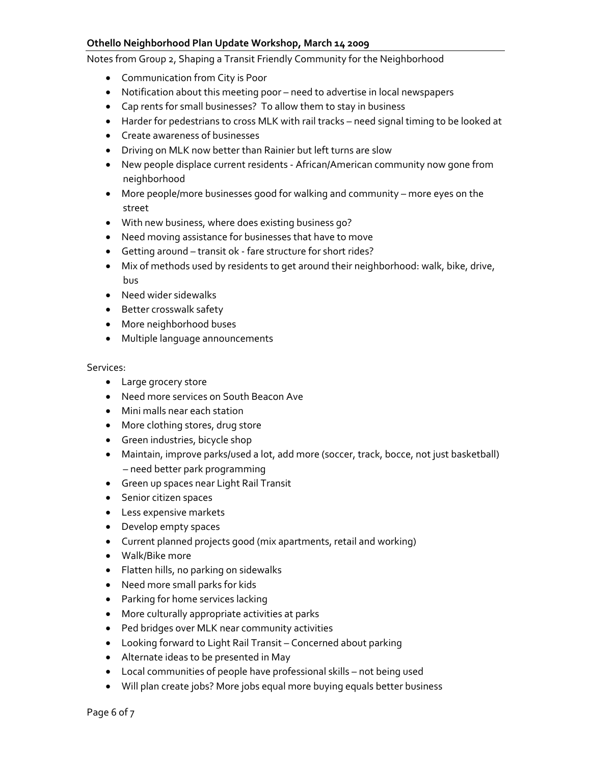Notes from Group 2, Shaping a Transit Friendly Community for the Neighborhood

- Communication from City is Poor
- Notification about this meeting poor need to advertise in local newspapers
- Cap rents for small businesses? To allow them to stay in business
- Harder for pedestrians to cross MLK with rail tracks need signal timing to be looked at
- Create awareness of businesses
- Driving on MLK now better than Rainier but left turns are slow
- New people displace current residents ‐ African/American community now gone from neighborhood
- More people/more businesses good for walking and community more eyes on the street
- With new business, where does existing business go?
- Need moving assistance for businesses that have to move
- Getting around transit ok fare structure for short rides?
- Mix of methods used by residents to get around their neighborhood: walk, bike, drive, bus
- Need wider sidewalks
- Better crosswalk safety
- More neighborhood buses
- Multiple language announcements

Services:

- Large grocery store
- Need more services on South Beacon Ave
- Mini malls near each station
- More clothing stores, drug store
- Green industries, bicycle shop
- Maintain, improve parks/used a lot, add more (soccer, track, bocce, not just basketball) – need better park programming
- Green up spaces near Light Rail Transit
- Senior citizen spaces
- Less expensive markets
- Develop empty spaces
- Current planned projects good (mix apartments, retail and working)
- Walk/Bike more
- Flatten hills, no parking on sidewalks
- Need more small parks for kids
- Parking for home services lacking
- More culturally appropriate activities at parks
- Ped bridges over MLK near community activities
- Looking forward to Light Rail Transit Concerned about parking
- Alternate ideas to be presented in May
- Local communities of people have professional skills not being used
- Will plan create jobs? More jobs equal more buying equals better business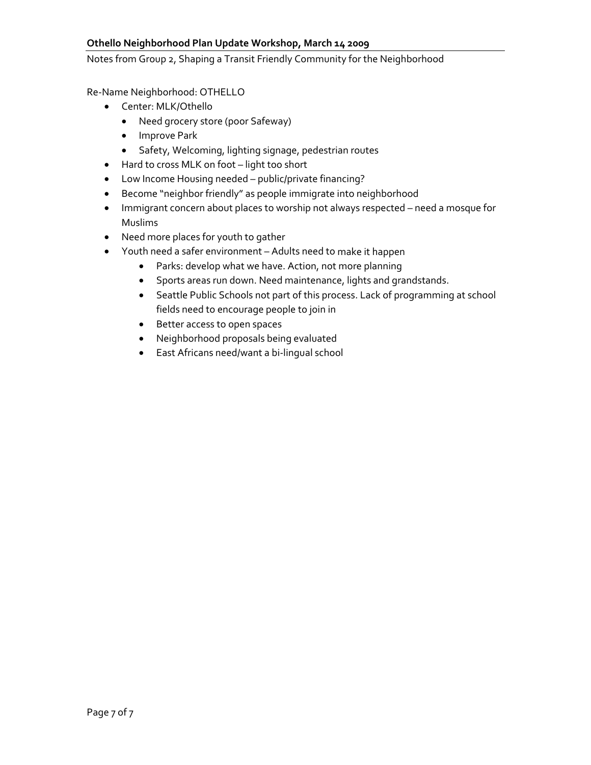Notes from Group 2, Shaping a Transit Friendly Community for the Neighborhood

Re‐Name Neighborhood: OTHELLO

- Center: MLK/Othello
	- Need grocery store (poor Safeway)
	- Improve Park
	- Safety, Welcoming, lighting signage, pedestrian routes
- Hard to cross MLK on foot light too short
- Low Income Housing needed public/private financing?
- Become "neighbor friendly" as people immigrate into neighborhood
- Immigrant concern about places to worship not always respected need a mosque for Muslims
- Need more places for youth to gather
- Youth need a safer environment Adults need to make it happen
	- Parks: develop what we have. Action, not more planning
	- Sports areas run down. Need maintenance, lights and grandstands.
	- Seattle Public Schools not part of this process. Lack of programming at school fields need to encourage people to join in
	- Better access to open spaces
	- Neighborhood proposals being evaluated
	- East Africans need/want a bi‐lingual school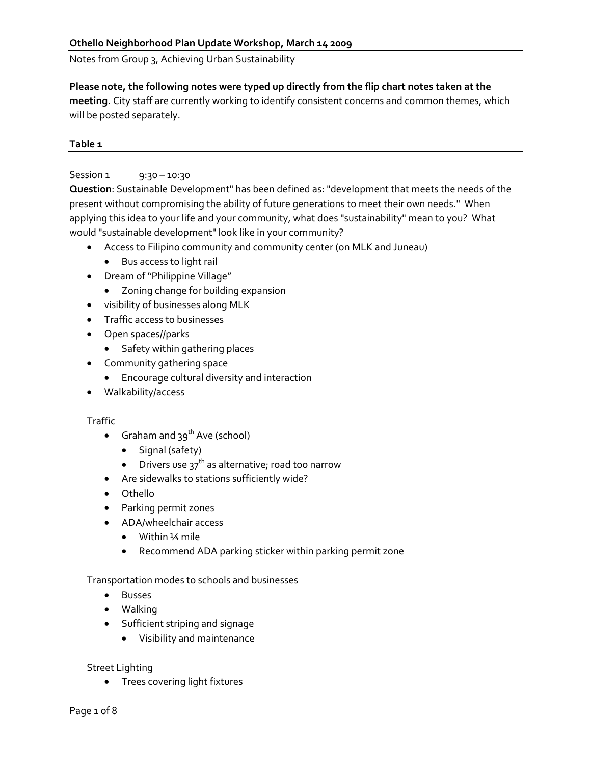Notes from Group 3, Achieving Urban Sustainability

## **Please note, the following notes were typed up directly from the flip chart notes taken at the**

**meeting.** City staff are currently working to identify consistent concerns and common themes, which will be posted separately.

# **Table 1**

# Session 1 9:30 – 10:30

**Question**: Sustainable Development" has been defined as: "development that meets the needs of the present without compromising the ability of future generations to meet their own needs." When applying this idea to your life and your community, what does "sustainability" mean to you? What would "sustainable development" look like in your community?

- Access to Filipino community and community center (on MLK and Juneau)
	- Bus access to light rail
- Dream of "Philippine Village"
	- Zoning change for building expansion
- visibility of businesses along MLK
- Traffic access to businesses
- Open spaces//parks
	- Safety within gathering places
- Community gathering space
	- Encourage cultural diversity and interaction
- Walkability/access

#### **Traffic**

- Graham and  $39<sup>th</sup>$  Ave (school)
	- Signal (safety)
	- Drivers use  $37<sup>th</sup>$  as alternative; road too narrow
- Are sidewalks to stations sufficiently wide?
- Othello
- Parking permit zones
- ADA/wheelchair access
	- Within ¼ mile
	- Recommend ADA parking sticker within parking permit zone

# Transportation modes to schools and businesses

- Busses
- Walking
- Sufficient striping and signage
	- Visibility and maintenance

# Street Lighting

• Trees covering light fixtures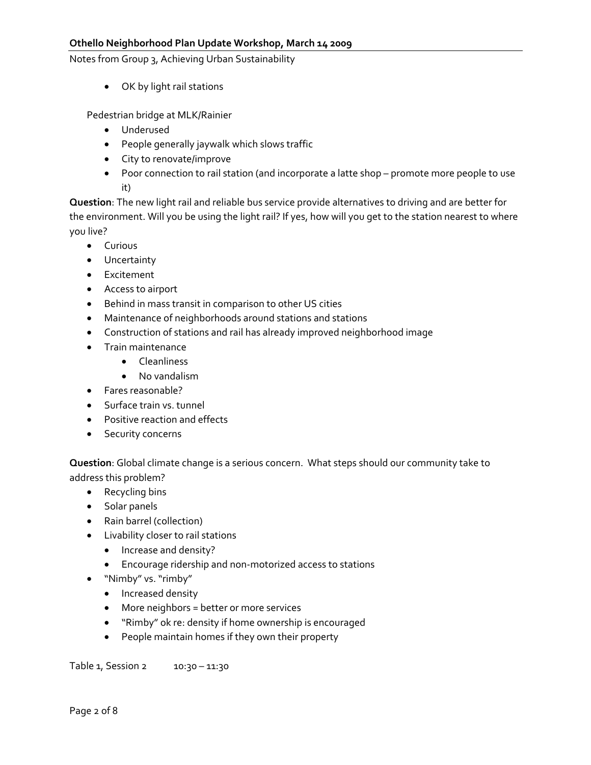Notes from Group 3, Achieving Urban Sustainability

• OK by light rail stations

Pedestrian bridge at MLK/Rainier

- Underused
- People generally jaywalk which slows traffic
- City to renovate/improve
- Poor connection to rail station (and incorporate a latte shop promote more people to use it)

**Question**: The new light rail and reliable bus service provide alternatives to driving and are better for the environment. Will you be using the light rail? If yes, how will you get to the station nearest to where you live?

- Curious
- Uncertainty
- Excitement
- Access to airport
- Behind in mass transit in comparison to other US cities
- Maintenance of neighborhoods around stations and stations
- Construction of stations and rail has already improved neighborhood image
- Train maintenance
	- Cleanliness
	- No vandalism
- Fares reasonable?
- Surface train vs. tunnel
- Positive reaction and effects
- Security concerns

**Question**: Global climate change is a serious concern. What steps should our community take to address this problem?

- Recycling bins
- Solar panels
- Rain barrel (collection)
- Livability closer to rail stations
	- Increase and density?
	- Encourage ridership and non‐motorized access to stations
- "Nimby" vs. "rimby"
	- Increased density
	- More neighbors = better or more services
	- "Rimby" ok re: density if home ownership is encouraged
	- People maintain homes if they own their property

Table 1, Session 2 10:30 - 11:30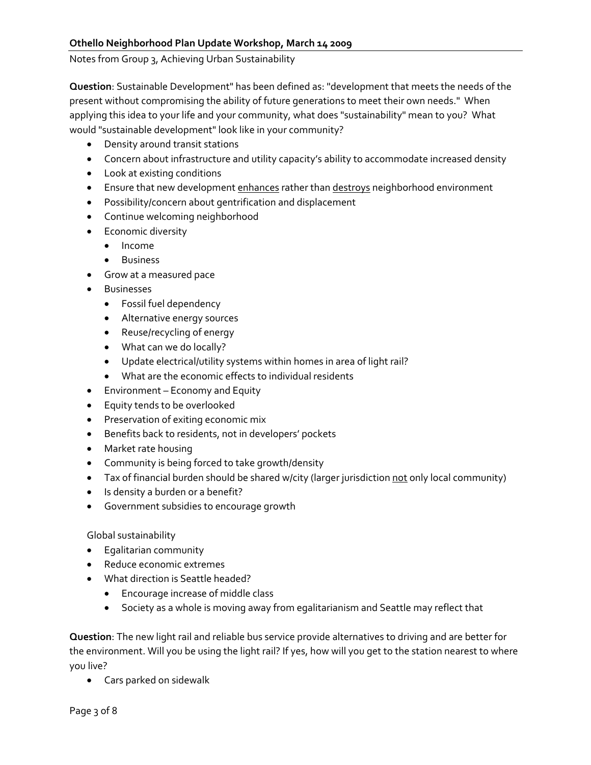Notes from Group 3, Achieving Urban Sustainability

**Question**: Sustainable Development" has been defined as: "development that meets the needs of the present without compromising the ability of future generations to meet their own needs." When applying this idea to your life and your community, what does "sustainability" mean to you? What would "sustainable development" look like in your community?

- Density around transit stations
- Concern about infrastructure and utility capacity's ability to accommodate increased density
- Look at existing conditions
- Ensure that new development enhances rather than destroys neighborhood environment
- Possibility/concern about gentrification and displacement
- Continue welcoming neighborhood
- Economic diversity
	- Income
	- Business
- Grow at a measured pace
- Businesses
	- Fossil fuel dependency
	- Alternative energy sources
	- Reuse/recycling of energy
	- What can we do locally?
	- Update electrical/utility systems within homes in area of light rail?
	- What are the economic effects to individual residents
- Environment Economy and Equity
- Equity tends to be overlooked
- Preservation of exiting economic mix
- Benefits back to residents, not in developers' pockets
- Market rate housing
- Community is being forced to take growth/density
- Tax of financial burden should be shared w/city (larger jurisdiction not only local community)
- Is density a burden or a benefit?
- Government subsidies to encourage growth

# Global sustainability

- Egalitarian community
- Reduce economic extremes
- What direction is Seattle headed?
	- Encourage increase of middle class
	- Society as a whole is moving away from egalitarianism and Seattle may reflect that

**Question**: The new light rail and reliable bus service provide alternatives to driving and are better for the environment. Will you be using the light rail? If yes, how will you get to the station nearest to where you live?

• Cars parked on sidewalk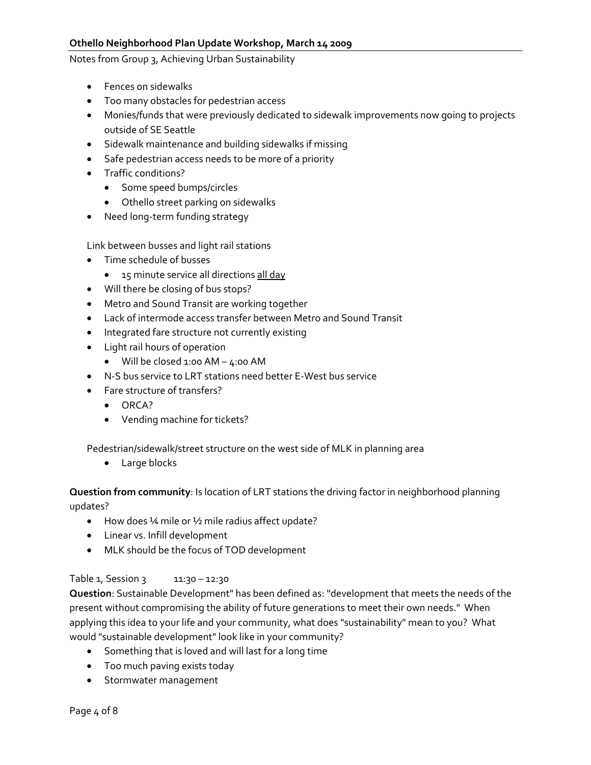Notes from Group 3, Achieving Urban Sustainability

- Fences on sidewalks
- Too many obstacles for pedestrian access
- Monies/funds that were previously dedicated to sidewalk improvements now going to projects outside of SE Seattle
- Sidewalk maintenance and building sidewalks if missing
- Safe pedestrian access needs to be more of a priority
- Traffic conditions?
	- Some speed bumps/circles
	- Othello street parking on sidewalks
- Need long‐term funding strategy

Link between busses and light rail stations

- Time schedule of busses
	- 15 minute service all directions all day
- Will there be closing of bus stops?
- Metro and Sound Transit are working together
- Lack of intermode access transfer between Metro and Sound Transit
- Integrated fare structure not currently existing
- Light rail hours of operation
	- Will be closed 1:00 AM 4:00 AM
- N‐S bus service to LRT stations need better E‐West bus service
- Fare structure of transfers?
	- ORCA?
	- Vending machine for tickets?

Pedestrian/sidewalk/street structure on the west side of MLK in planning area

• Large blocks

**Question from community**: Is location of LRT stations the driving factor in neighborhood planning updates?

- How does ¼ mile or ½ mile radius affect update?
- Linear vs. Infill development
- MLK should be the focus of TOD development

#### Table 1, Session 3 11:30 - 12:30

**Question**: Sustainable Development" has been defined as: "development that meets the needs of the present without compromising the ability of future generations to meet their own needs." When applying this idea to your life and your community, what does "sustainability" mean to you? What would "sustainable development" look like in your community?

- Something that is loved and will last for a long time
- Too much paving exists today
- Stormwater management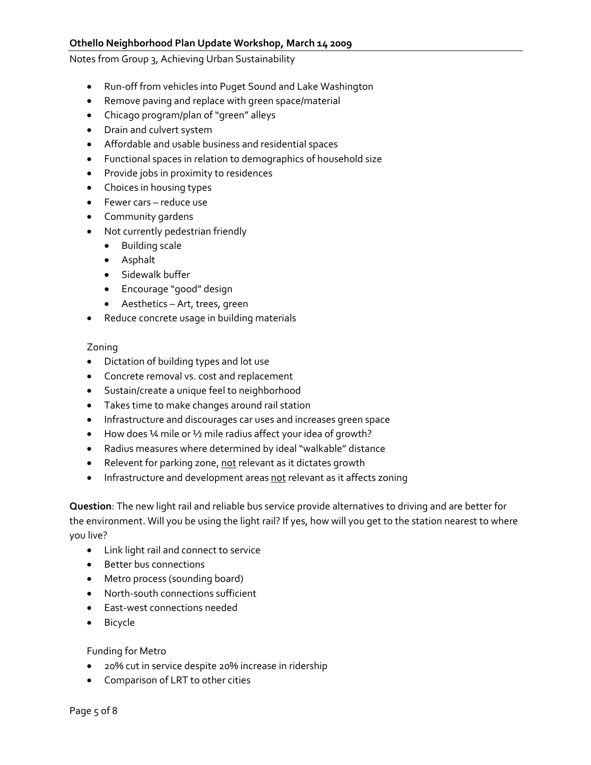Notes from Group 3, Achieving Urban Sustainability

- Run‐off from vehicles into Puget Sound and Lake Washington
- Remove paving and replace with green space/material
- Chicago program/plan of "green" alleys
- Drain and culvert system
- Affordable and usable business and residential spaces
- Functional spaces in relation to demographics of household size
- Provide jobs in proximity to residences
- Choices in housing types
- Fewer cars reduce use
- Community gardens
- Not currently pedestrian friendly
	- Building scale
	- Asphalt
	- Sidewalk buffer
	- Encourage "good" design
	- Aesthetics Art, trees, green
- Reduce concrete usage in building materials

#### Zoning

- Dictation of building types and lot use
- Concrete removal vs. cost and replacement
- Sustain/create a unique feel to neighborhood
- Takes time to make changes around rail station
- Infrastructure and discourages car uses and increases green space
- How does ¼ mile or ½ mile radius affect your idea of growth?
- Radius measures where determined by ideal "walkable" distance
- Relevent for parking zone, not relevant as it dictates growth
- Infrastructure and development areas not relevant as it affects zoning

**Question**: The new light rail and reliable bus service provide alternatives to driving and are better for the environment. Will you be using the light rail? If yes, how will you get to the station nearest to where you live?

- Link light rail and connect to service
- Better bus connections
- Metro process (sounding board)
- North‐south connections sufficient
- East‐west connections needed
- Bicycle

#### Funding for Metro

- 20% cut in service despite 20% increase in ridership
- Comparison of LRT to other cities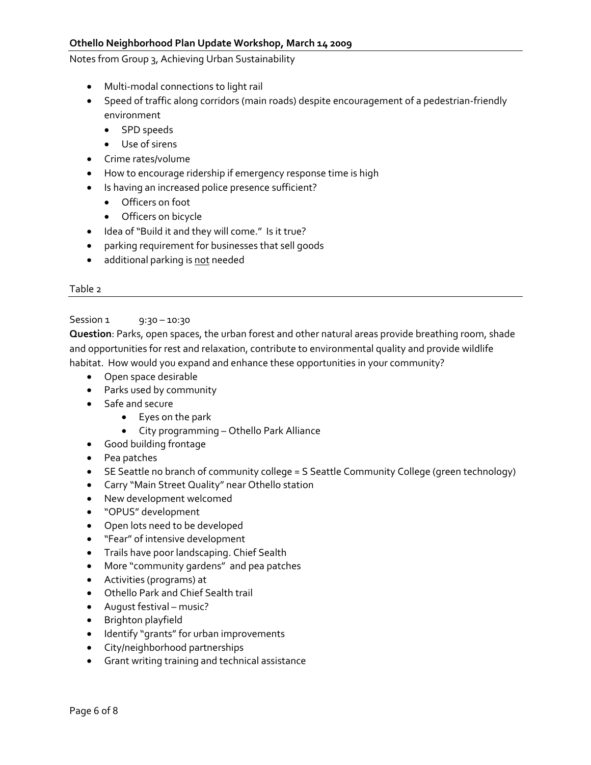Notes from Group 3, Achieving Urban Sustainability

- Multi-modal connections to light rail
- Speed of traffic along corridors (main roads) despite encouragement of a pedestrian‐friendly environment
	- SPD speeds
	- Use of sirens
- Crime rates/volume
- How to encourage ridership if emergency response time is high
- Is having an increased police presence sufficient?
	- Officers on foot
	- Officers on bicycle
- Idea of "Build it and they will come." Is it true?
- parking requirement for businesses that sell goods
- additional parking is not needed

#### Table 2

#### Session 1 9:30 – 10:30

**Question**: Parks, open spaces, the urban forest and other natural areas provide breathing room, shade and opportunities for rest and relaxation, contribute to environmental quality and provide wildlife habitat. How would you expand and enhance these opportunities in your community?

- Open space desirable
- Parks used by community
- Safe and secure
	- Eyes on the park
	- City programming Othello Park Alliance
- Good building frontage
- Pea patches
- SE Seattle no branch of community college = S Seattle Community College (green technology)
- Carry "Main Street Quality" near Othello station
- New development welcomed
- "OPUS" development
- Open lots need to be developed
- "Fear" of intensive development
- Trails have poor landscaping. Chief Sealth
- More "community gardens" and pea patches
- Activities (programs) at
- Othello Park and Chief Sealth trail
- August festival music?
- Brighton playfield
- Identify "grants" for urban improvements
- City/neighborhood partnerships
- Grant writing training and technical assistance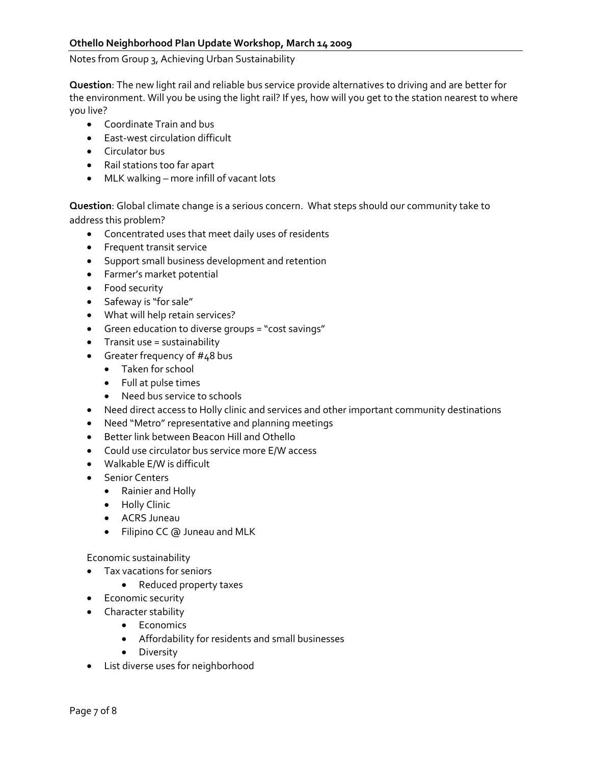Notes from Group 3, Achieving Urban Sustainability

**Question**: The new light rail and reliable bus service provide alternatives to driving and are better for the environment. Will you be using the light rail? If yes, how will you get to the station nearest to where you live?

- Coordinate Train and bus
- East‐west circulation difficult
- Circulator bus
- Rail stations too far apart
- MLK walking more infill of vacant lots

**Question**: Global climate change is a serious concern. What steps should our community take to address this problem?

- Concentrated uses that meet daily uses of residents
- Frequent transit service
- Support small business development and retention
- Farmer's market potential
- Food security
- Safeway is "for sale"
- What will help retain services?
- Green education to diverse groups = "cost savings"
- Transit use = sustainability
- Greater frequency of #48 bus
	- Taken for school
	- Full at pulse times
	- Need bus service to schools
- Need direct access to Holly clinic and services and other important community destinations
- Need "Metro" representative and planning meetings
- Better link between Beacon Hill and Othello
- Could use circulator bus service more E/W access
- Walkable E/W is difficult
- Senior Centers
	- Rainier and Holly
	- Holly Clinic
	- ACRS Juneau
	- Filipino CC @ Juneau and MLK

Economic sustainability

- Tax vacations for seniors
	- Reduced property taxes
- Economic security
- Character stability
	- Economics
	- Affordability for residents and small businesses
	- Diversity
- List diverse uses for neighborhood